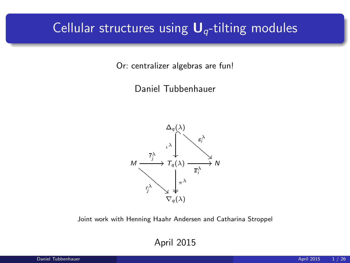## Cellular structures using  $U_q$ -tilting modules

Or: centralizer algebras are fun!

Daniel Tubbenhauer



Joint work with Henning Haahr Andersen and Catharina Stroppel

April 2015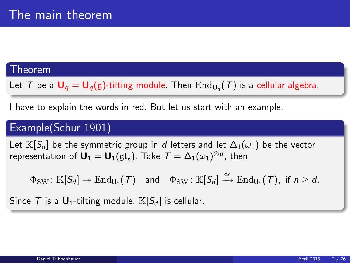#### Theorem

Let  $T$  be a  $\mathsf{U}_q = \mathsf{U}_q(\mathfrak{g})$ -tilting module. Then  $\mathrm{End}_{\mathsf{U}_q}(T)$  is a cellular algebra.

I have to explain the words in red. But let us start with an example.

## Example(Schur 1901)

Let  $\mathbb{K}[S_d]$  be the symmetric group in d letters and let  $\Delta_1(\omega_1)$  be the vector representation of  $\mathbf{U}_1 = \mathbf{U}_1(\mathfrak{gl}_n).$  Take  $\mathcal{T} = \Delta_1(\omega_1)^{\otimes d}$ , then

 $\Phi_{\mathrm{SW}} \colon \mathbb{K}[S_d] \twoheadrightarrow \mathrm{End}_{\mathsf{U}_1}(\mathcal{T}) \quad \text{and} \quad \Phi_{\mathrm{SW}} \colon \mathbb{K}[S_d] \xrightarrow{\cong} \mathrm{End}_{\mathsf{U}_1}(\mathcal{T}), \text{ if } n \geq d.$ 

Since T is a  $\mathbf{U}_1$ -tilting module,  $\mathbb{K}[S_d]$  is cellular.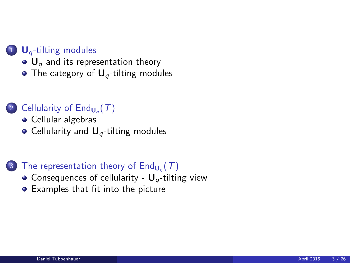#### $\bigcup$  U<sub>q</sub>[-tilting modules](#page-3-0)

- $\bullet$  U<sub>q</sub> [and its representation theory](#page-3-0)
- [The category of](#page-6-0)  $U_q$ -tilting modules

## 2 Cellularity of  $\mathsf{End}_{\mathsf{U}_q}(\mathcal{T})$

- **•** [Cellular algebras](#page-12-0)
- $\bullet$  Cellularity and  $\mathbf{U}_q$ [-tilting modules](#page-14-0)

## 3) The representation theory of  $\mathsf{End}_{\mathsf{U}_q}(\mathcal{T})$

- [Consequences of cellularity -](#page-18-0)  $U_q$ -tilting view
- [Examples that fit into the picture](#page-22-0)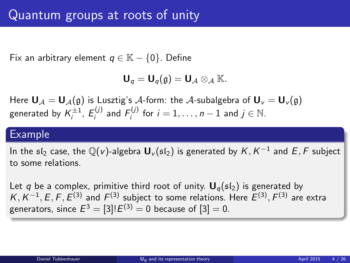Fix an arbitrary element  $q \in \mathbb{K} - \{0\}$ . Define

<span id="page-3-0"></span>
$$
\mathbf{U}_q=\mathbf{U}_q(\mathfrak{g})=\mathbf{U}_{\mathcal{A}}\otimes_{\mathcal{A}}\mathbb{K}.
$$

Here  $U_A = U_A(g)$  is Lusztig's A-form: the A-subalgebra of  $U_v = U_v(g)$ generated by  $\mathcal{K}_i^{\pm 1}$ ,  $\mathcal{E}_i^{(j)}$  and  $\mathcal{F}_i^{(j)}$  for  $i=1,\ldots,n-1$  and  $j\in\mathbb{N}$ .

## Example

In the  $\mathfrak{sl}_2$  case, the  $\mathbb Q(v)$ -algebra  $\mathsf{U}_v(\mathfrak{sl}_2)$  is generated by  $\mathcal{K},\mathcal{K}^{-1}$  and  $E,\mathcal{F}$  subject to some relations.

Let q be a complex, primitive third root of unity.  $U_q(\mathfrak{sl}_2)$  is generated by  $K, K^{-1}, E, F, E^{(3)}$  and  $F^{(3)}$  subject to some relations. Here  $E^{(3)}, F^{(3)}$  are extra generators, since  $E^3=[3]!E^{(3)}=0$  because of  $[3]=0.$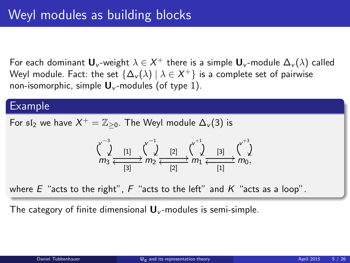For each dominant  $\mathsf{U}_\mathsf{v}$ -weight  $\lambda \in \mathsf{X}^+$  there is a simple  $\mathsf{U}_\mathsf{v}$ -module  $\Delta_\mathsf{v}(\lambda)$  called Weyl module. Fact: the set  $\{\Delta_{\sf v}(\lambda)\ |\ \lambda\in{\sf X}^+\}$  is a complete set of pairwise non-isomorphic, simple  $\mathbf{U}_{\nu}$ -modules (of type 1).

#### Example

For  $\mathfrak{sl}_2$  we have  $X^+ = \mathbb{Z}_{\geq 0}.$  The Weyl module  $\Delta_{\nu}(3)$  is

$$
\begin{array}{ccc} \n\sqrt{\phantom{a}}^3 & & & \\
\end{array} \quad \frac{1}{2} \quad \frac{1}{2} \quad \frac{1}{2} \quad \frac{1}{2} \quad \frac{1}{2} \quad \frac{1}{2} \quad \frac{1}{2} \quad \frac{1}{2} \quad \frac{1}{2} \quad \frac{1}{2} \quad \frac{1}{2} \quad \frac{1}{2} \quad \frac{1}{2} \quad \frac{1}{2} \quad \frac{1}{2} \quad \frac{1}{2} \quad \frac{1}{2} \quad \frac{1}{2} \quad \frac{1}{2} \quad \frac{1}{2} \quad \frac{1}{2} \quad \frac{1}{2} \quad \frac{1}{2} \quad \frac{1}{2} \quad \frac{1}{2} \quad \frac{1}{2} \quad \frac{1}{2} \quad \frac{1}{2} \quad \frac{1}{2} \quad \frac{1}{2} \quad \frac{1}{2} \quad \frac{1}{2} \quad \frac{1}{2} \quad \frac{1}{2} \quad \frac{1}{2} \quad \frac{1}{2} \quad \frac{1}{2} \quad \frac{1}{2} \quad \frac{1}{2} \quad \frac{1}{2} \quad \frac{1}{2} \quad \frac{1}{2} \quad \frac{1}{2} \quad \frac{1}{2} \quad \frac{1}{2} \quad \frac{1}{2} \quad \frac{1}{2} \quad \frac{1}{2} \quad \frac{1}{2} \quad \frac{1}{2} \quad \frac{1}{2} \quad \frac{1}{2} \quad \frac{1}{2} \quad \frac{1}{2} \quad \frac{1}{2} \quad \frac{1}{2} \quad \frac{1}{2} \quad \frac{1}{2} \quad \frac{1}{2} \quad \frac{1}{2} \quad \frac{1}{2} \quad \frac{1}{2} \quad \frac{1}{2} \quad \frac{1}{2} \quad \frac{1}{2} \quad \frac{1}{2} \quad \frac{1}{2} \quad \frac{1}{2} \quad \frac{1}{2} \quad \frac{1}{2} \quad \frac{1}{2} \quad \frac{1}{2} \quad \frac{1}{2} \quad \frac{1}{2} \quad \frac{1}{2} \quad \frac{1}{2} \quad \frac{1}{2} \quad \frac{1}{2} \quad \frac{1}{2} \quad \frac{1}{2} \quad \frac{1}{2} \quad \
$$

where  $E$  "acts to the right",  $F$  "acts to the left" and  $K$  "acts as a loop".

The category of finite dimensional  $\mathbf{U}_{v}$ -modules is semi-simple.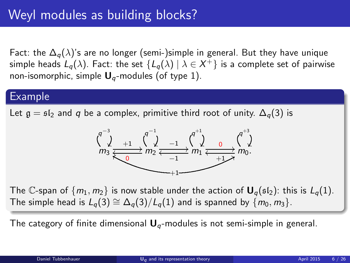Fact: the  $\Delta_{q}(\lambda)$ 's are no longer (semi-)simple in general. But they have unique simple heads  $L_q(\lambda).$  Fact: the set  $\{L_q(\lambda)\ |\ \lambda\in X^+\}$  is a complete set of pairwise non-isomorphic, simple  $U_q$ -modules (of type 1).

## Example

Let  $g = \frac{\epsilon_1}{2}$  and q be a complex, primitive third root of unity.  $\Delta_q(3)$  is



The C-span of  $\{m_1, m_2\}$  is now stable under the action of  $\mathbf{U}_q(\mathfrak{sl}_2)$ : this is  $L_q(1)$ . The simple head is  $L_q(3) \cong \Delta_q(3)/L_q(1)$  and is spanned by  $\{m_0, m_3\}$ .

The category of finite dimensional  $U_q$ -modules is not semi-simple in general.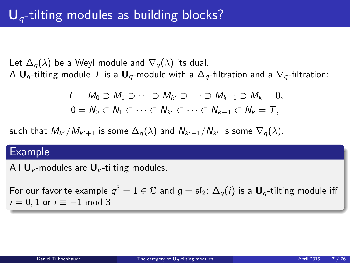Let  $\Delta_q(\lambda)$  be a Weyl module and  $\nabla_q(\lambda)$  its dual. A  $U_q$ -tilting module T is a  $U_q$ -module with a  $\Delta_q$ -filtration and a  $\nabla_q$ -filtration:

<span id="page-6-0"></span>
$$
T = M_0 \supset M_1 \supset \cdots \supset M_{k'} \supset \cdots \supset M_{k-1} \supset M_k = 0,
$$
  

$$
0 = N_0 \subset N_1 \subset \cdots \subset N_{k'} \subset \cdots \subset N_{k-1} \subset N_k = T,
$$

such that  $M_{k'}/M_{k'+1}$  is some  $\Delta_{q}(\lambda)$  and  $N_{k'+1}/N_{k'}$  is some  $\nabla_{q}(\lambda).$ 

#### Example

All  $\mathbf{U}_{v}$ -modules are  $\mathbf{U}_{v}$ -tilting modules.

For our favorite example  $q^3=1\in\mathbb{C}$  and  $\mathfrak{g}=\mathfrak{sl}_2\colon\Delta_q(i)$  is a  $\mathbf{U}_q\text{-tilting module iff}$  $i = 0, 1$  or  $i \equiv -1 \mod 3$ .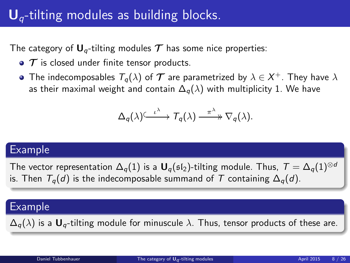# $U_q$ -tilting modules as building blocks.

The category of  $U_q$ -tilting modules  $T$  has some nice properties:

- $\bullet$   $\tau$  is closed under finite tensor products.
- The indecomposables  $\mathcal{T}_q(\lambda)$  of  $\bm{\mathcal{T}}$  are parametrized by  $\lambda\in\mathcal{X}^+ .$  They have  $\lambda$ as their maximal weight and contain  $\Delta_q(\lambda)$  with multiplicity 1. We have

$$
\Delta_q(\lambda) \xrightarrow{\iota^{\lambda}} T_q(\lambda) \xrightarrow{\pi^{\lambda}} \nabla_q(\lambda).
$$

## Example

The vector representation  $\Delta_q(1)$  is a  $\mathbf{U}_q(\mathfrak{sl}_2)$ -tilting module. Thus,  $T = \Delta_q(1)^{\otimes d}$ is. Then  $T_q(d)$  is the indecomposable summand of T containing  $\Delta_q(d)$ .

## Example

 $\Delta_q(\lambda)$  is a  $U_q$ -tilting module for minuscule  $\lambda$ . Thus, tensor products of these are.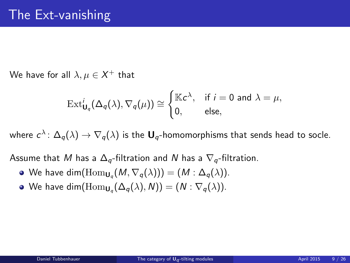We have for all  $\lambda,\mu\in\mathsf{X}^{+}$  that

$$
\operatorname{Ext}^i_{\mathbf{U}_q}(\Delta_q(\lambda), \nabla_q(\mu)) \cong \begin{cases} \mathbb{K}c^{\lambda}, & \text{if } i = 0 \text{ and } \lambda = \mu, \\ 0, & \text{else,} \end{cases}
$$

where  $c^\lambda\colon\Delta_q(\lambda)\to\nabla_q(\lambda)$  is the  $\mathbf{U}_q$ -homomorphisms that sends head to socle.

Assume that M has a  $\Delta_{q}$ -filtration and N has a  $\nabla_{q}$ -filtration.

- We have  $\dim(\mathrm{Hom}_{\mathsf{U}_q}(M,\nabla_q(\lambda)))=(M:\Delta_q(\lambda)).$
- We have dim $(\mathrm{Hom}_{\mathsf{U}_q}(\Delta_q(\lambda),N)) = (N : \nabla_q(\lambda)).$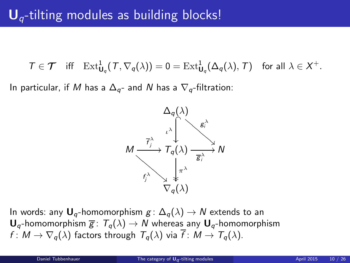$T \in \mathcal{T}$  iff  $\mathrm{Ext}^1_{\mathbf{U}_q}(\mathcal{T}, \nabla_q(\lambda)) = 0 = \mathrm{Ext}^1_{\mathbf{U}_q}(\Delta_q(\lambda), \mathcal{T})$  for all  $\lambda \in \mathcal{X}^+$ .

In particular, if M has a  $\Delta_{q}$ - and N has a  $\nabla_{q}$ -filtration:



In words: any  $U_q$ -homomorphism  $g: \Delta_q(\lambda) \to N$  extends to an  $\mathbf{U}_q$ -homomorphism  $\overline{g}$ :  $T_q(\lambda) \rightarrow N$  whereas any  $\mathbf{U}_q$ -homomorphism  $f: M \to \nabla_a(\lambda)$  factors through  $T_a(\lambda)$  via  $\overline{f}: M \to T_a(\lambda)$ .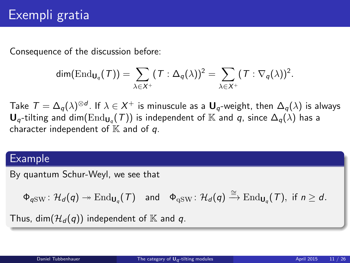Consequence of the discussion before:

$$
\dim(\mathrm{End}_{\mathsf{U}_q}(\mathcal{T}))=\sum_{\lambda\in X^+}(\mathcal{T}:\Delta_q(\lambda))^2=\sum_{\lambda\in X^+}(\mathcal{T}:\nabla_q(\lambda))^2.
$$

Take  $\mathcal{T}=\Delta_q(\lambda)^{\otimes d}$ . If  $\lambda\in X^+$  is minuscule as a  $\sf{U}_q$ -weight, then  $\Delta_q(\lambda)$  is always  $\mathbf{U}_q$ -tilting and dim $(\mathrm{End}_{\mathbf{U}_q}(T))$  is independent of  $\mathbb K$  and  $q$ , since  $\Delta_q(\lambda)$  has a character independent of  $K$  and of  $q$ .

## Example

By quantum Schur-Weyl, we see that

 $\Phi_{q \text{SW}} \colon \mathcal{H}_d(q) \twoheadrightarrow \text{End}_{\mathbf{U}_q}(\mathcal{T}) \quad \text{and} \quad \Phi_{\text{qSW}} \colon \mathcal{H}_d(q) \xrightarrow{\cong} \text{End}_{\mathbf{U}_q}(\mathcal{T}), \text{ if } n \geq d.$ 

Thus, dim $(\mathcal{H}_d(q))$  independent of K and q.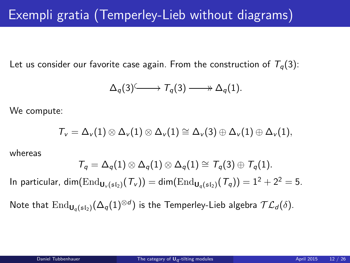Let us consider our favorite case again. From the construction of  $T_q(3)$ :

$$
\Delta_q(3) \longrightarrow T_q(3) \longrightarrow \Delta_q(1).
$$

We compute:

$$
{\mathcal T}_\nu=\Delta_\nu(1)\otimes\Delta_\nu(1)\otimes\Delta_\nu(1)\cong\Delta_\nu(3)\oplus\Delta_\nu(1)\oplus\Delta_\nu(1),
$$

whereas

$$
\mathcal{T}_q = \Delta_q(1) \otimes \Delta_q(1) \otimes \Delta_q(1) \cong \mathcal{T}_q(3) \oplus \mathcal{T}_q(1).
$$

In particular, dim( $\text{End}_{U_v({\mathfrak {sl}})}(\mathcal{T}_v)) = \text{dim}(\text{End}_{U_u({\mathfrak {sl}})}(\mathcal{T}_q)) = 1^2 + 2^2 = 5.$ 

Note that  $\mathrm{End}_{\mathsf{U}_q(\mathfrak{sl}_2)}(\Delta_q(1)^{\otimes d})$  is the Temperley-Lieb algebra  $\mathcal{TL}_d(\delta).$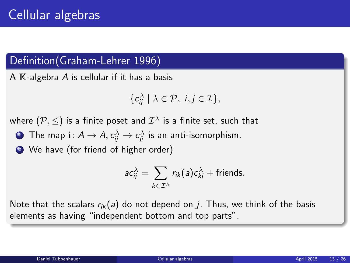## Definition(Graham-Lehrer 1996)

A  $K$ -algebra A is cellular if it has a basis

$$
\{\mathsf c_{ij}^\lambda\mid\lambda\in\mathcal P,\ i,j\in\mathcal I\},\
$$

where  $(\mathcal{P},\leq)$  is a finite poset and  $\mathcal{I}^\lambda$  is a finite set, such that

 ${\bf D}$  The map  ${\rm i}\colon A\to A,$   $c_{ij}^\lambda\to c_{ji}^\lambda$  is an anti-isomorphism.

<sup>2</sup> We have (for friend of higher order)

<span id="page-12-0"></span>
$$
ac_{ij}^{\lambda} = \sum_{k \in \mathcal{I}^{\lambda}} r_{ik}(a)c_{kj}^{\lambda} + \text{friends.}
$$

Note that the scalars  $r_{ik}(a)$  do not depend on j. Thus, we think of the basis elements as having "independent bottom and top parts".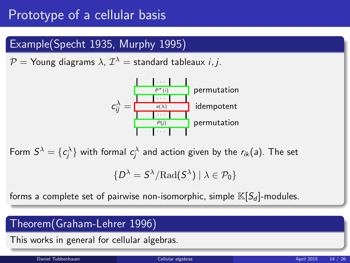# Prototype of a cellular basis

## Example(Specht 1935, Murphy 1995)

 $\mathcal{P} =$  Young diagrams  $\lambda$ ,  $\mathcal{I}^\lambda =$  standard tableaux  $i, j.$ 



Form  $S^{\lambda}=\{c_j^{\lambda}\}$  with formal  $c_j^{\lambda}$  and action given by the  $r_{ik}($ a). The set

$$
\{D^{\lambda} = S^{\lambda}/\mathrm{Rad}(S^{\lambda}) \mid \lambda \in \mathcal{P}_0\}
$$

forms a complete set of pairwise non-isomorphic, simple  $\mathbb{K}[S_d]$ -modules.

## Theorem(Graham-Lehrer 1996)

This works in general for cellular algebras.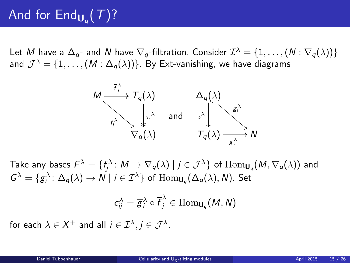# And for  $\text{End}_{\mathsf{U}_q}(\mathcal{T})$ ?

Let  $M$  have a  $\Delta_{q^-}$  and  $N$  have  $\nabla_q$ -filtration. Consider  $\mathcal{I}^\lambda=\{1,\ldots,(N:\nabla_q(\lambda))\}$ and  $\mathcal{J}^{\lambda}=\{1,\ldots,(M:\Delta_{q}(\lambda))\}$ . By Ext-vanishing, we have diagrams



Take any bases  $\mathcal{F}^\lambda=\{f_j^\lambda\colon M\to \nabla_q(\lambda)\mid j\in\mathcal{J}^\lambda\}$  of  $\text{Hom}_{\mathsf{U}_q}(M,\nabla_q(\lambda))$  and  $G^{\lambda} = \{g_i^{\lambda} \colon \Delta_q(\lambda) \to N \mid i \in \mathcal{I}^{\lambda}\}\;$  of  $\operatorname{Hom}_{\mathsf{U}_q}(\Delta_q(\lambda), N)$ . Set

<span id="page-14-0"></span>
$$
c_{ij}^{\lambda}=\overline{g}_{i}^{\lambda}\circ\overline{f}_{j}^{\lambda}\in\mathrm{Hom}_{\mathsf{U}_{q}}(M,N)
$$

for each  $\lambda \in X^+$  and all  $i \in {\cal I}^\lambda, j \in {\cal J}^\lambda.$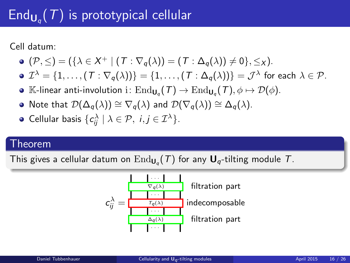# $\mathsf{End}_{\mathsf{U}_q}(\mathcal{T})$  is prototypical cellular

Cell datum:

$$
\bullet \ (\mathcal{P},\leq)=(\{\lambda\in X^+ \mid (T:\nabla_q(\lambda))=(T:\Delta_q(\lambda))\neq 0\},\leq_X).
$$

$$
\bullet \mathcal{I}^{\lambda} = \{1, \ldots, (T : \nabla_q(\lambda))\} = \{1, \ldots, (T : \Delta_q(\lambda))\} = \mathcal{J}^{\lambda} \text{ for each } \lambda \in \mathcal{P}.
$$

- $\mathbb{K}\text{-}$ linear anti-involution i $:\text{End}_{\mathsf{U}_q}(\mathcal{T})\to \text{End}_{\mathsf{U}_q}(\mathcal{T}), \phi\mapsto \mathcal{D}(\phi).$
- Note that  $\mathcal{D}(\Delta_a(\lambda)) \cong \nabla_a(\lambda)$  and  $\mathcal{D}(\nabla_a(\lambda)) \cong \Delta_a(\lambda)$ .

• **Cellular basis** 
$$
\{c_{ij}^{\lambda} | \lambda \in \mathcal{P}, i, j \in \mathcal{I}^{\lambda}\}.
$$

#### Theorem

This gives a cellular datum on  $\mathrm{End}_{\mathsf{U}_q}(\mathcal{T})$  for any  $\mathsf{U}_q\text{-tilting}$  module  $\mathcal{T}.$ 

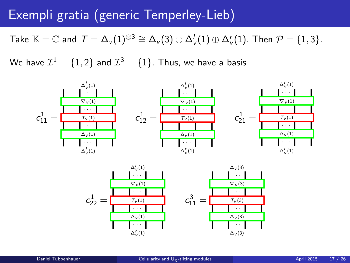## Exempli gratia (generic Temperley-Lieb)

Take  $\mathbb{K}=\mathbb{C}$  and  $\mathcal{T}=\Delta_{\nu}(1)^{\otimes 3}\cong \Delta_{\nu}(3)\oplus \Delta_{\nu}'(1)\oplus \Delta_{\nu}'(1).$  Then  $\mathcal{P}=\{1,3\}.$ 

We have  $\mathcal{I}^1=\{1,2\}$  and  $\mathcal{I}^3=\{1\}.$  Thus, we have a basis



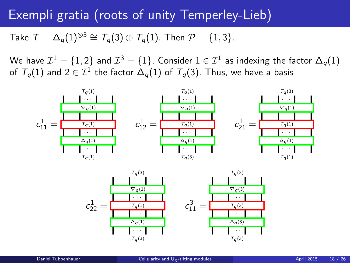## Exempli gratia (roots of unity Temperley-Lieb)

Take  $T = \Delta_a(1)^{\otimes 3} \cong T_a(3) \oplus T_a(1)$ . Then  $\mathcal{P} = \{1, 3\}$ .

We have  $\mathcal{I}^1=\{1,2\}$  and  $\mathcal{I}^3=\{1\}.$  Consider  $1\in\mathcal{I}^1$  as indexing the factor  $\Delta_q(1)$ of  ${\mathcal T}_q(1)$  and  $2\in {\mathcal I}^1$  the factor  $\Delta_q(1)$  of  ${\mathcal T}_q(3).$  Thus, we have a basis



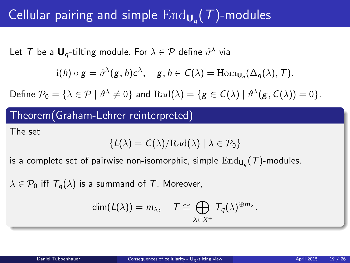# Cellular pairing and simple  $\mathrm{End}_{\mathbf{U}_q}(\mathcal{T})$ -modules

Let  $\mathcal T$  be a  $\mathbf{U}_q\text{-tilting module.}$  For  $\lambda\in\mathcal P$  define  $\vartheta^\lambda$  via

$$
i(h) \circ g = \vartheta^{\lambda}(g, h)c^{\lambda}, \quad g, h \in C(\lambda) = \text{Hom}_{\mathbf{U}_q}(\Delta_q(\lambda), T).
$$

Define  $\mathcal{P}_0 = \{ \lambda \in \mathcal{P} \mid \vartheta^\lambda \neq 0 \}$  and  $\mathrm{Rad}(\lambda) = \{ g \in \mathcal{C}(\lambda) \mid \vartheta^\lambda(g, \mathcal{C}(\lambda)) = 0 \}.$ 

## Theorem(Graham-Lehrer reinterpreted)

The set

$$
\{\textit{L}(\lambda) = \textit{C}(\lambda)/\mathrm{Rad}(\lambda) \mid \lambda \in \mathcal{P}_0\}
$$

is a complete set of pairwise non-isomorphic, simple  $\mathrm{End}_{\mathsf{U}_q}(\mathcal{T})$ -modules.

 $\lambda \in \mathcal{P}_0$  iff  $T_a(\lambda)$  is a summand of T. Moreover,

<span id="page-18-0"></span>
$$
\dim(L(\lambda))=m_{\lambda}, \quad T \cong \bigoplus_{\lambda \in X^+} T_q(\lambda)^{\oplus m_{\lambda}}.
$$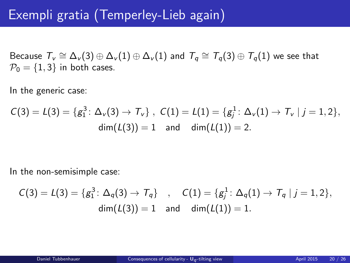# Exempli gratia (Temperley-Lieb again)

Because  $\mathcal{T}_v \cong \Delta_v(3) \oplus \Delta_v(1) \oplus \Delta_v(1)$  and  $\mathcal{T}_q \cong \mathcal{T}_q(3) \oplus \mathcal{T}_q(1)$  we see that  $P_0 = \{1, 3\}$  in both cases.

In the generic case:

$$
C(3) = L(3) = \{g_1^3 \colon \Delta_v(3) \to \mathcal{T}_v\}, \ \ C(1) = L(1) = \{g_j^1 \colon \Delta_v(1) \to \mathcal{T}_v \mid j = 1, 2\},
$$
  
dim $(L(3)) = 1$  and dim $(L(1)) = 2$ .

In the non-semisimple case:

$$
C(3) = L(3) = \{g_1^3 \colon \Delta_q(3) \to T_q\} \quad , \quad C(1) = \{g_j^1 \colon \Delta_q(1) \to T_q \mid j = 1, 2\},
$$
  
dim $(L(3)) = 1$  and dim $(L(1)) = 1$ .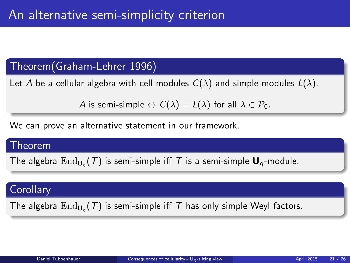## Theorem(Graham-Lehrer 1996)

Let A be a cellular algebra with cell modules  $C(\lambda)$  and simple modules  $L(\lambda)$ .

A is semi-simple  $\Leftrightarrow C(\lambda) = L(\lambda)$  for all  $\lambda \in \mathcal{P}_0$ .

We can prove an alternative statement in our framework.

#### Theorem

The algebra  $\mathrm{End}_{\mathsf{U}_q}(\mathcal{T})$  is semi-simple iff  $\mathcal T$  is a semi-simple  $\mathsf{U}_q$ -module.

## **Corollary**

The algebra  $\mathrm{End}_{\mathsf{U}_q}(\mathcal{T})$  is semi-simple iff  $\mathcal T$  has only simple Weyl factors.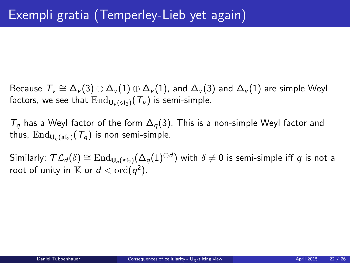Because  $\mathcal{T}_v\cong \Delta_v(3)\oplus \Delta_v(1)\oplus \Delta_v(1)$ , and  $\Delta_v(3)$  and  $\Delta_v(1)$  are simple Weyl factors, we see that  $\text{End}_{\mathbf{U}_{\nu}(\mathfrak{sl}_2)}(\mathcal{T}_{\nu})$  is semi-simple.

 $T_q$  has a Weyl factor of the form  $\Delta_q(3)$ . This is a non-simple Weyl factor and thus,  $\text{End}_{\mathbf{U}_q(\mathfrak{sl}_2)}(\mathcal{T}_q)$  is non semi-simple.

Similarly:  $\mathcal{TL}_d(\delta) \cong \mathrm{End}_{\mathbf{U}_q(\mathfrak{sl}_2)}(\Delta_q(1)^{\otimes d})$  with  $\delta \neq 0$  is semi-simple iff  $q$  is not a root of unity in  $\mathbb K$  or  $d < \text{ord}(q^2)$ .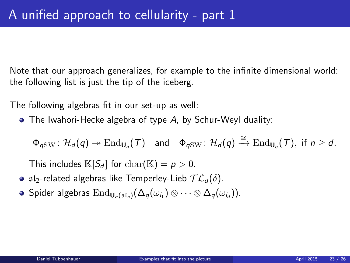Note that our approach generalizes, for example to the infinite dimensional world: the following list is just the tip of the iceberg.

The following algebras fit in our set-up as well:

The Iwahori-Hecke algebra of type A, by Schur-Weyl duality:

 $\Phi_{q \text{SW}} \colon \mathcal{H}_d(q) \twoheadrightarrow \text{End}_{\mathsf{U}_q}(\mathcal{T}) \quad \text{and} \quad \Phi_{q \text{SW}} \colon \mathcal{H}_d(q) \xrightarrow{\cong} \text{End}_{\mathsf{U}_q}(\mathcal{T}), \text{ if } n \geq d.$ 

<span id="page-22-0"></span>This includes  $\mathbb{K}[S_d]$  for  $char(\mathbb{K}) = p > 0$ .

- **o**  $\mathfrak{sl}_2$ -related algebras like Temperley-Lieb  $\mathcal{TL}_d(\delta)$ .
- Spider algebras  $\mathrm{End}_{\mathsf{U}_q(\mathfrak{sl}_n)}(\Delta_q(\omega_{i_1})\otimes\cdots\otimes\Delta_q(\omega_{i_d})).$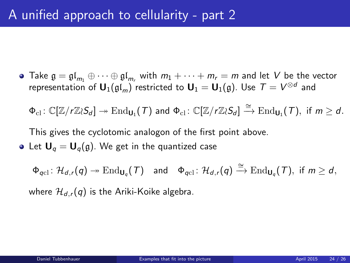• Take  $\mathfrak{g} = \mathfrak{gl}_m \oplus \cdots \oplus \mathfrak{gl}_m$  with  $m_1 + \cdots + m_r = m$  and let V be the vector representation of  $\mathsf{U}_1(\mathfrak{gl}_m)$  restricted to  $\mathsf{U}_1=\mathsf{U}_1(\mathfrak{g})$ . Use  $\,\mathcal{T} = V^{\otimes d}\,$  and

 $\Phi_{\text{cl}}\colon \mathbb{C}[\mathbb{Z}/r\mathbb{Z}\wr S_d]\twoheadrightarrow \text{End}_{\mathbf{U}_1}(\mathcal{T})$  and  $\Phi_{\text{cl}}\colon \mathbb{C}[\mathbb{Z}/r\mathbb{Z}\wr S_d]\stackrel{\cong}{\longrightarrow} \text{End}_{\mathbf{U}_1}(\mathcal{T}), \,\,\text{if}\,\, m\geq d.$ 

This gives the cyclotomic analogon of the first point above.

• Let  $U_q = U_q(q)$ . We get in the quantized case

 $\Phi_{qcl} \colon \mathcal{H}_{d,r}(q) \twoheadrightarrow \text{End}_{\mathsf{U}_q}(\mathcal{T}) \quad \text{and} \quad \Phi_{qcl} \colon \mathcal{H}_{d,r}(q) \xrightarrow{\cong} \text{End}_{\mathsf{U}_q}(\mathcal{T}), \text{ if } m \geq d,$ where  $\mathcal{H}_{d,r}(q)$  is the Ariki-Koike algebra.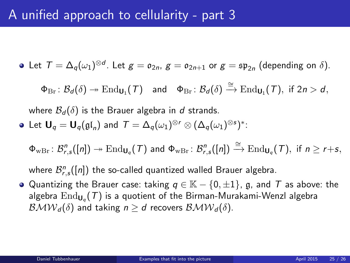# A unified approach to cellularity - part 3

• Let 
$$
T = \Delta_q(\omega_1)^{\otimes d}
$$
. Let  $g = \mathfrak{o}_{2n}$ ,  $g = \mathfrak{o}_{2n+1}$  or  $g = \mathfrak{sp}_{2n}$  (depending on  $\delta$ ).

 $\Phi_{\mathrm{Br}} \colon \mathcal{B}_d(\delta) \twoheadrightarrow \mathrm{End}_{\mathsf{U}_1}(\mathcal{T})$  and  $\Phi_{\mathrm{Br}} \colon \mathcal{B}_d(\delta) \xrightarrow{\cong} \mathrm{End}_{\mathsf{U}_1}(\mathcal{T}),$  if  $2n > d$ ,

where  $\mathcal{B}_d(\delta)$  is the Brauer algebra in d strands.

• Let 
$$
U_q = U_q(\mathfrak{gl}_n)
$$
 and  $T = \Delta_q(\omega_1)^{\otimes r} \otimes (\Delta_q(\omega_1)^{\otimes s})^*$ :

 $\Phi_{\text{wBr}}\colon \mathcal{B}^n_{r,s}([n]) \twoheadrightarrow \text{End}_{\mathsf{U}_q}(\mathcal{T})$  and  $\Phi_{\text{wBr}}\colon \mathcal{B}^n_{r,s}([n]) \xrightarrow{\cong} \text{End}_{\mathsf{U}_q}(\mathcal{T}),$  if  $n \geq r+s$ ,

where  $\mathcal{B}_{r,s}^{n}([n])$  the so-called quantized walled Brauer algebra.

 $\bullet$  Quantizing the Brauer case: taking  $q \in \mathbb{K} - \{0, \pm 1\}$ , g, and T as above: the algebra  $\mathrm{End}_{\mathsf{U}_q}(\mathcal{T})$  is a quotient of the Birman-Murakami-Wenzl algebra  $\mathcal{BMW}_d(\delta)$  and taking  $n \geq d$  recovers  $\mathcal{BMW}_d(\delta)$ .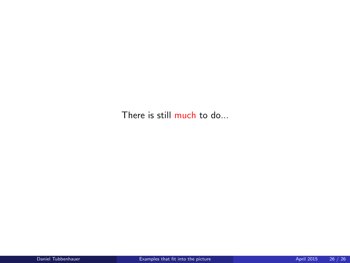There is still much to do...